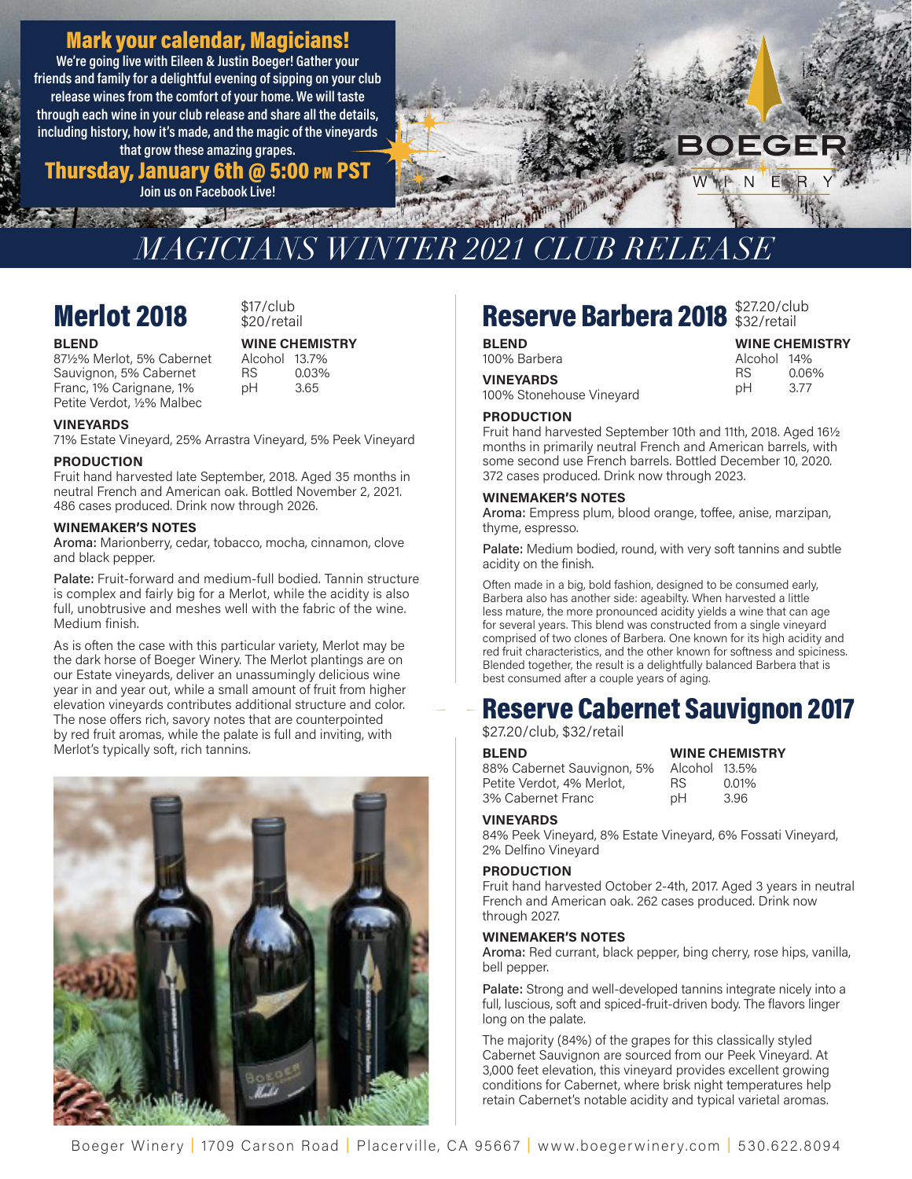### Mark your calendar, Magicians!

We're going live with Eileen & Justin Boeger! Gather your friends and family for a delightful evening of sipping on your club release wines from the comfort of your home. We will taste through each wine in your club release and share all the details, including history, how it's made, and the magic of the vineyards that grow these amazing grapes.

Thursday, January 6th @ 5:00 pm PST

Join us on Facebook Live! **Second State** 



## *MAGICIANS WINTER 2021 CLUB RELEASE*

## **Merlot 2018**  $$^{517/club}_{$20/retail}$

## $$17/club$

Alcohol 13.7%

0.03% 3.65

#### BLEND WINE CHEMISTRY

87½% Merlot, 5% Cabernet Alcohol 13.7% Sauvignon, 5% Cabernet Franc, 1% Carignane, 1% Petite Verdot, ½% Malbec

VINEYARDS

71% Estate Vineyard, 25% Arrastra Vineyard, 5% Peek Vineyard

RS pH

#### PRODUCTION

Fruit hand harvested late September, 2018. Aged 35 months in neutral French and American oak. Bottled November 2, 2021. 486 cases produced. Drink now through 2026.

#### WINEMAKER'S NOTES

Aroma: Marionberry, cedar, tobacco, mocha, cinnamon, clove and black pepper.

Palate: Fruit-forward and medium-full bodied. Tannin structure is complex and fairly big for a Merlot, while the acidity is also full, unobtrusive and meshes well with the fabric of the wine. Medium finish.

As is often the case with this particular variety, Merlot may be the dark horse of Boeger Winery. The Merlot plantings are on our Estate vineyards, deliver an unassumingly delicious wine year in and year out, while a small amount of fruit from higher elevation vineyards contributes additional structure and color. The nose offers rich, savory notes that are counterpointed by red fruit aromas, while the palate is full and inviting, with Merlot's typically soft, rich tannins.



## Reserve Barbera 2018 \$27.20/club

Alcohol 14%

**VINEYARDS** RS 0.06%<br>100% Stonehouse Vineyard pH 3.77

#### **PRODUCTION**

 Fruit hand harvested September 10th and 11th, 2018. Aged 16½ months in primarily neutral French and American barrels, with some second use French barrels. Bottled December 10, 2020. 372 cases produced. Drink now through 2023.

#### WINEMAKER'S NOTES

Aroma: Empress plum, blood orange, toffee, anise, marzipan, thyme, espresso.

Palate: Medium bodied, round, with very soft tannins and subtle acidity on the finish.

 Often made in a big, bold fashion, designed to be consumed early, Barbera also has another side: ageabilty. When harvested a little less mature, the more pronounced acidity yields a wine that can age for several years. This blend was constructed from a single vineyard comprised of two clones of Barbera. One known for its high acidity and red fruit characteristics, and the other known for softness and spiciness. Blended together, the result is a delightfully balanced Barbera that is best consumed after a couple years of aging.

# **Reserve Cabernet Sauvignon 2017**  $\begin{array}{c|c}\n & \text{best} \\
- & -\text{Re} \\
\hline\n\text{$27$} \\
 & \text{BLE}\n\end{array}$

#### \$27.20/club, \$32/retail

 88% Cabernet Sauvignon, 5% Alcohol 13.5% Petite Verdot, 4% Merlot, RS 0.01% 3% Cabernet Franc pH 3.96 BLEND WINE CHEMISTRY

| /INL ∪HLIVIIJH |       |
|----------------|-------|
| lcohol 13.5%   |       |
| S              | 0.01% |
| н              | 3.96  |

#### VINEYARDS

 84% Peek Vineyard, 8% Estate Vineyard, 6% Fossati Vineyard, 2% Delfino Vineyard

#### PRODUCTION

 Fruit hand harvested October 2-4th, 2017. Aged 3 years in neutral French and American oak. 262 cases produced. Drink now through 2027.

#### WINEMAKER'S NOTES

Aroma: Red currant, black pepper, bing cherry, rose hips, vanilla, bell pepper.

Palate: Strong and well-developed tannins integrate nicely into a full, luscious, soft and spiced-fruit-driven body. The flavors linger long on the palate.

 The majority (84%) of the grapes for this classically styled Cabernet Sauvignon are sourced from our Peek Vineyard. At 3,000 feet elevation, this vineyard provides excellent growing conditions for Cabernet, where brisk night temperatures help retain Cabernet's notable acidity and typical varietal aromas.

**BLEND**<br>100% Barbera **Market Strategy Service Service Strategy Alcohol 14%**